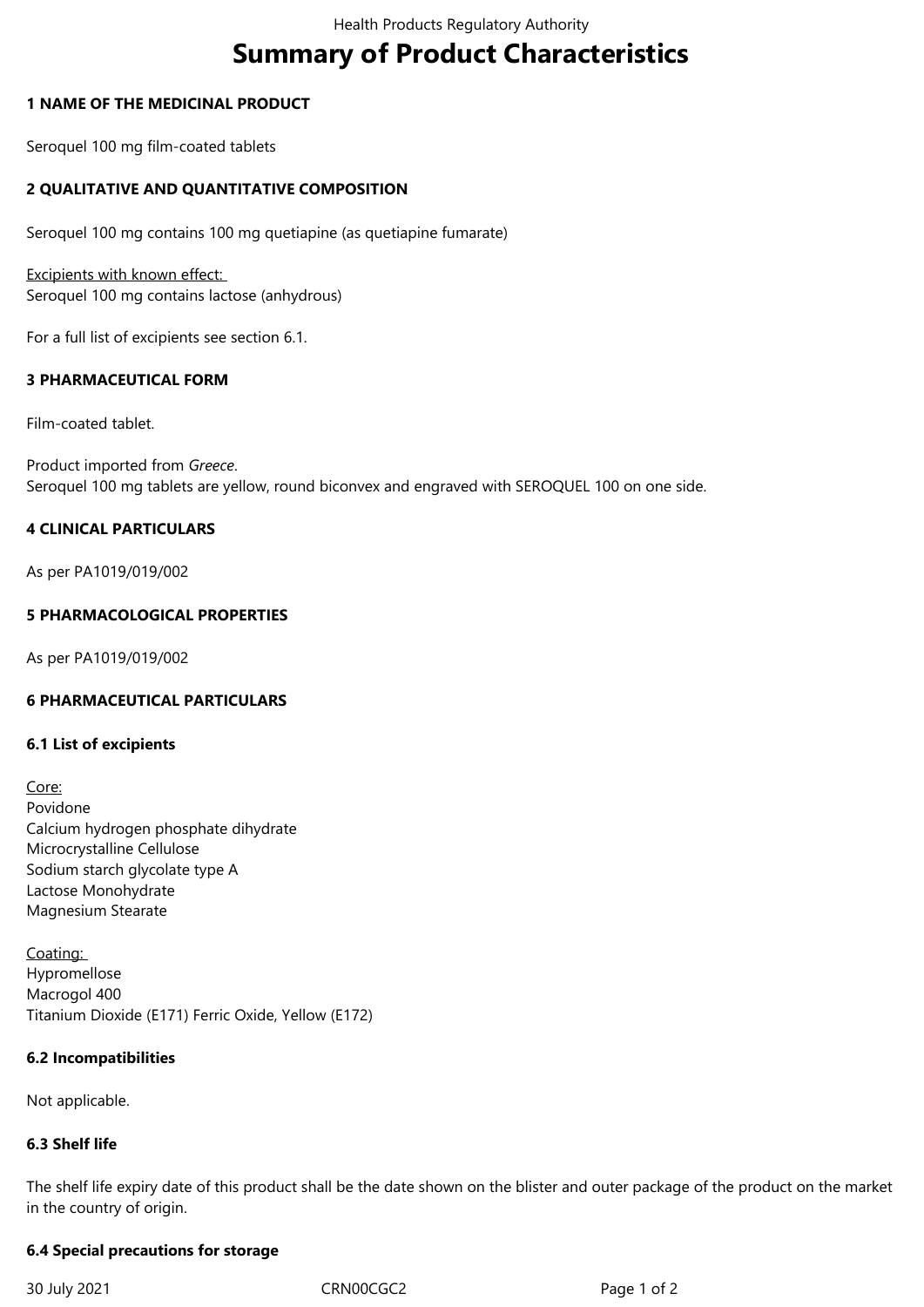# **Summary of Product Characteristics**

#### **1 NAME OF THE MEDICINAL PRODUCT**

Seroquel 100 mg film-coated tablets

## **2 QUALITATIVE AND QUANTITATIVE COMPOSITION**

Seroquel 100 mg contains 100 mg quetiapine (as quetiapine fumarate)

Excipients with known effect: Seroquel 100 mg contains lactose (anhydrous)

For a full list of excipients see section 6.1.

### **3 PHARMACEUTICAL FORM**

Film-coated tablet.

Product imported from *Greece*. Seroquel 100 mg tablets are yellow, round biconvex and engraved with SEROQUEL 100 on one side.

### **4 CLINICAL PARTICULARS**

As per PA1019/019/002

### **5 PHARMACOLOGICAL PROPERTIES**

As per PA1019/019/002

#### **6 PHARMACEUTICAL PARTICULARS**

#### **6.1 List of excipients**

Core: Povidone Calcium hydrogen phosphate dihydrate Microcrystalline Cellulose Sodium starch glycolate type A Lactose Monohydrate Magnesium Stearate

Coating: Hypromellose Macrogol 400 Titanium Dioxide (E171) Ferric Oxide, Yellow (E172)

#### **6.2 Incompatibilities**

Not applicable.

#### **6.3 Shelf life**

The shelf life expiry date of this product shall be the date shown on the blister and outer package of the product on the market in the country of origin.

#### **6.4 Special precautions for storage**

30 July 2021 CRN00CGC2 Page 1 of 2